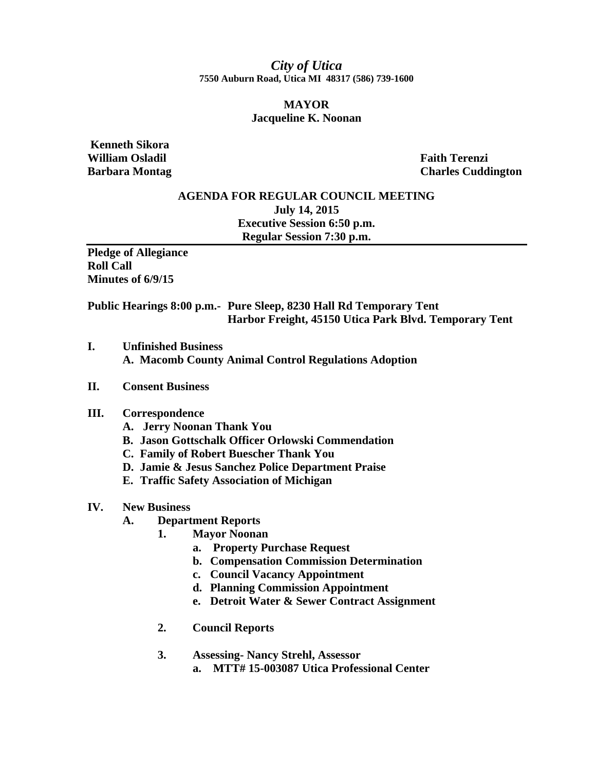*City of Utica*  **7550 Auburn Road, Utica MI 48317 (586) 739-1600** 

### **MAYOR Jacqueline K. Noonan**

 **Kenneth Sikora William Osladil Faith Terenzi** 

**Barbara Montag Charles Cuddington Charles Cuddington** 

## **AGENDA FOR REGULAR COUNCIL MEETING July 14, 2015 Executive Session 6:50 p.m. Regular Session 7:30 p.m.**

**Pledge of Allegiance Roll Call Minutes of 6/9/15** 

**Public Hearings 8:00 p.m.- Pure Sleep, 8230 Hall Rd Temporary Tent Harbor Freight, 45150 Utica Park Blvd. Temporary Tent** 

**I. Unfinished Business A. Macomb County Animal Control Regulations Adoption** 

### **II. Consent Business**

### **III. Correspondence**

- **A. Jerry Noonan Thank You**
- **B. Jason Gottschalk Officer Orlowski Commendation**
- **C. Family of Robert Buescher Thank You**
- **D. Jamie & Jesus Sanchez Police Department Praise**
- **E. Traffic Safety Association of Michigan**

#### **IV. New Business**

- **A. Department Reports** 
	- **1. Mayor Noonan** 
		- **a. Property Purchase Request**
		- **b. Compensation Commission Determination**
		- **c. Council Vacancy Appointment**
		- **d. Planning Commission Appointment**
		- **e. Detroit Water & Sewer Contract Assignment**
	- **2. Council Reports**

# **3. Assessing- Nancy Strehl, Assessor**

**a. MTT# 15-003087 Utica Professional Center**